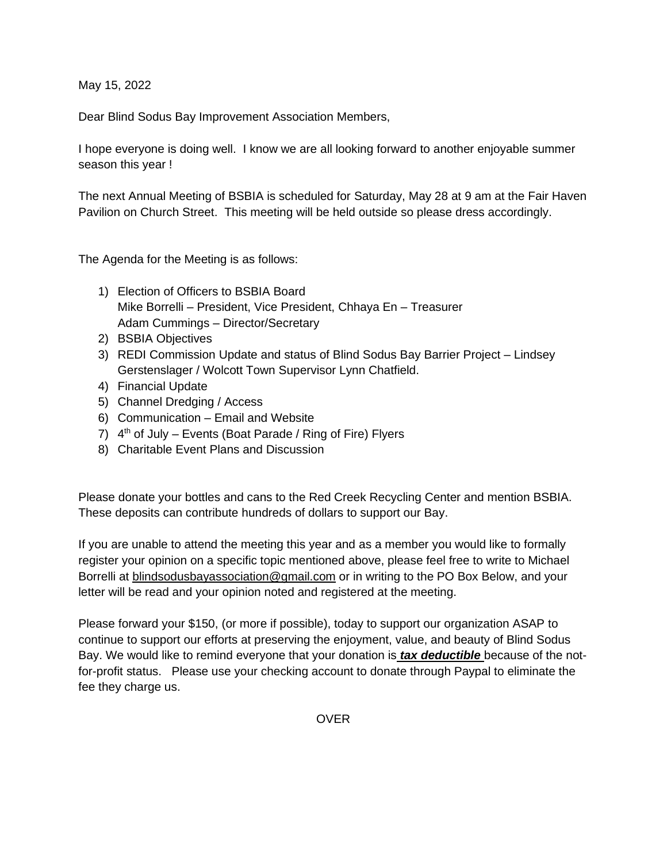May 15, 2022

[Dear Blind Sodus Bay Improvement Association Members,](https://bsbia.wordpress.com/) 

I hope everyone is doing well. I know we are all looking forward to another enjoyable summer season this year !

The next Annual Meeting of BSBIA is scheduled for Saturday, May 28 [at 9 am at the Fair Haven](https://bsbia.wordpress.com/)  Pavilion [on Church Street.](https://bsbia.wordpress.com/)This meeting will be held outside so please dress accordingly.

The Agenda for the Meeting is as follows:

- 1) Election of Officers to BSBIA Board Mike Borrelli – President, Vice President, Chhaya En – Treasurer Adam Cummings – Director/Secretary
- 2) BSBIA Objectives
- 3) REDI Commission Update and status of Blind Sodus Bay Barrier Project Lindsey Gerstenslager / Wolcott Town Supervisor Lynn Chatfield.
- 4) Financial Update
- 5) Channel Dredging / Access
- 6) Communication Email and Website
- 7)  $4<sup>th</sup>$  of July Events (Boat Parade / Ring of Fire) Flyers
- 8) Charitable Event Plans and Discussion

[Please donate your bottles and cans to the Red Creek Recycling Center and mention BSBIA.](https://bsbia.wordpress.com/)  These deposits can contribute hundreds of dollars to support our Bay.

If you are unable to attend the meeting this year and as a member you would like to formally register your opinion on a specific topic mentioned above, please feel free to write to Michael Borrelli at [blindsodusbayassociation@gmail.com](mailto:blindsodusbayassociation@gmail.com) or in writing to the PO Box Below, and your letter will be read and your opinion noted and registered at the meeting.

[Please forward your \\$150, \(or more if possible\), today to support our organization ASAP to](https://bsbia.wordpress.com/)  [continue to support our efforts at preserving the enjoyment, value, and beauty of Blind Sodus](https://bsbia.wordpress.com/)  [Bay. W](https://bsbia.wordpress.com/)e would like to remind everyone that your donation is *tax deductible* because of the notfor-profit status. Please use your checking account to donate through Paypal to eliminate the fee they charge us.

OVER